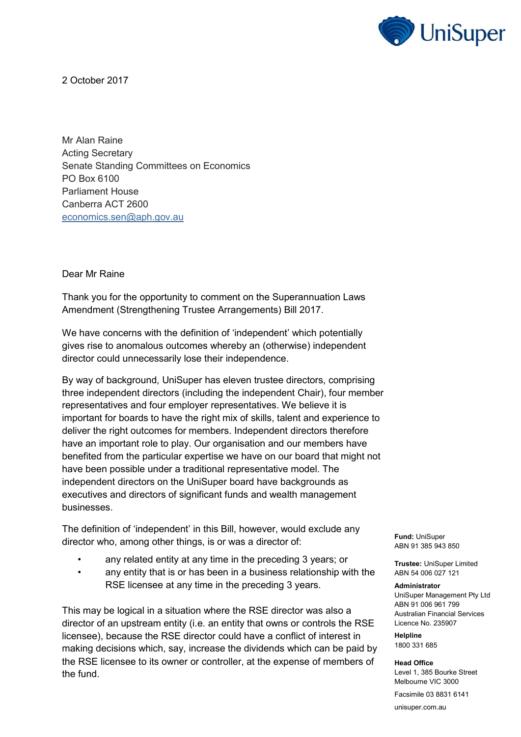

2 October 2017

Mr Alan Raine Acting Secretary Senate Standing Committees on Economics PO Box 6100 Parliament House Canberra ACT 2600 [economics.sen@aph.gov.au](mailto:economics.sen@aph.gov.au)

Dear Mr Raine

Thank you for the opportunity to comment on the Superannuation Laws Amendment (Strengthening Trustee Arrangements) Bill 2017.

We have concerns with the definition of 'independent' which potentially gives rise to anomalous outcomes whereby an (otherwise) independent director could unnecessarily lose their independence.

By way of background, UniSuper has eleven trustee directors, comprising three independent directors (including the independent Chair), four member representatives and four employer representatives. We believe it is important for boards to have the right mix of skills, talent and experience to deliver the right outcomes for members. Independent directors therefore have an important role to play. Our organisation and our members have benefited from the particular expertise we have on our board that might not have been possible under a traditional representative model. The independent directors on the UniSuper board have backgrounds as executives and directors of significant funds and wealth management businesses.

The definition of 'independent' in this Bill, however, would exclude any director who, among other things, is or was a director of:

- any related entity at any time in the preceding 3 years; or
- any entity that is or has been in a business relationship with the RSE licensee at any time in the preceding 3 years.

This may be logical in a situation where the RSE director was also a director of an upstream entity (i.e. an entity that owns or controls the RSE licensee), because the RSE director could have a conflict of interest in making decisions which, say, increase the dividends which can be paid by the RSE licensee to its owner or controller, at the expense of members of the fund.

**Fund:** UniSuper ABN 91 385 943 850

**Trustee:** UniSuper Limited ABN 54 006 027 121

## **Administrator**

UniSuper Management Pty Ltd ABN 91 006 961 799 Australian Financial Services Licence No. 235907

**Helpline** 1800 331 685

**Head Office** Level 1, 385 Bourke Street Melbourne VIC 3000

Facsimile 03 8831 6141

unisuper.com.au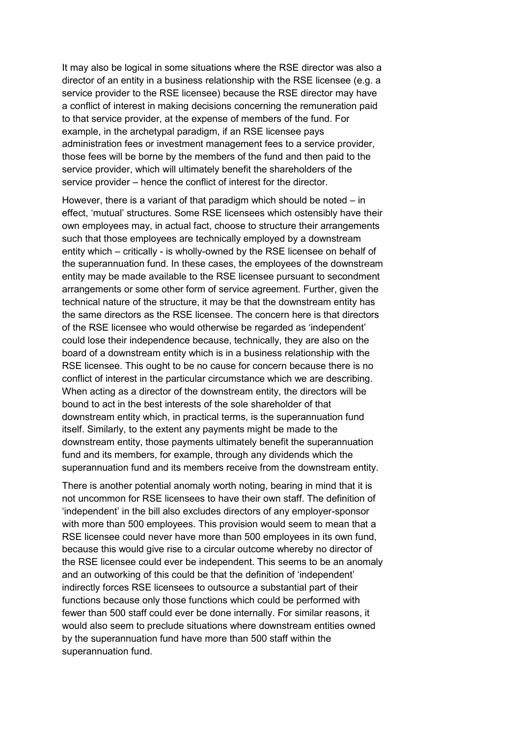It may also be logical in some situations where the RSE director was also a director of an entity in a business relationship with the RSE licensee (e.g. a service provider to the RSE licensee) because the RSE director may have a conflict of interest in making decisions concerning the remuneration paid to that service provider, at the expense of members of the fund. For example, in the archetypal paradigm, if an RSE licensee pays administration fees or investment management fees to a service provider, those fees will be borne by the members of the fund and then paid to the service provider, which will ultimately benefit the shareholders of the service provider – hence the conflict of interest for the director.

However, there is a variant of that paradigm which should be noted – in effect, 'mutual' structures. Some RSE licensees which ostensibly have their own employees may, in actual fact, choose to structure their arrangements such that those employees are technically employed by a downstream entity which – critically - is wholly-owned by the RSE licensee on behalf of the superannuation fund. In these cases, the employees of the downstream entity may be made available to the RSE licensee pursuant to secondment arrangements or some other form of service agreement. Further, given the technical nature of the structure, it may be that the downstream entity has the same directors as the RSE licensee. The concern here is that directors of the RSE licensee who would otherwise be regarded as 'independent' could lose their independence because, technically, they are also on the board of a downstream entity which is in a business relationship with the RSE licensee. This ought to be no cause for concern because there is no conflict of interest in the particular circumstance which we are describing. When acting as a director of the downstream entity, the directors will be bound to act in the best interests of the sole shareholder of that downstream entity which, in practical terms, is the superannuation fund itself. Similarly, to the extent any payments might be made to the downstream entity, those payments ultimately benefit the superannuation fund and its members, for example, through any dividends which the superannuation fund and its members receive from the downstream entity.

There is another potential anomaly worth noting, bearing in mind that it is not uncommon for RSE licensees to have their own staff. The definition of 'independent' in the bill also excludes directors of any employer-sponsor with more than 500 employees. This provision would seem to mean that a RSE licensee could never have more than 500 employees in its own fund, because this would give rise to a circular outcome whereby no director of the RSE licensee could ever be independent. This seems to be an anomaly and an outworking of this could be that the definition of 'independent' indirectly forces RSE licensees to outsource a substantial part of their functions because only those functions which could be performed with fewer than 500 staff could ever be done internally. For similar reasons, it would also seem to preclude situations where downstream entities owned by the superannuation fund have more than 500 staff within the superannuation fund.